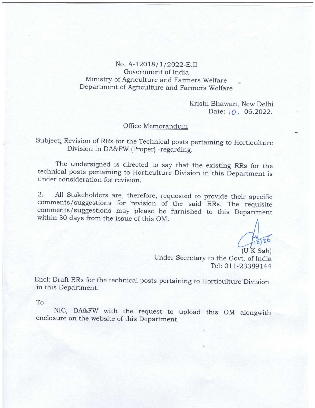No. A-12018/1/2022-E.II Government of India Ministry of Agriculture and Farmers Welfare Department of Agriculture and Farmers Welfare

> Krishi Bhawan, New Delhi Date:  $10.06.2022$ .

## Office Memorandum

Subject; Revision of RRs for the Technical posts pertaining to Horticulture Division in DA&FW (proper) -regarding.

The undersigned is directed to say that the existing RRs for the technical posts pertaining to Horticulture Division in this Department is under consideration for revision.

2. A11 Stakeholders are, therefore, requested to provide their specific comments/suggestions for revision of the said RRs. The requisite comments/suggestions may please be furnished to this Department within 30 days from the issue of this OM.

Under Secretary to the Govt. of India Tel: 011-23389144  $(U K S<sub>ah</sub>)$ 

Encl: Draft RRs for the technical posts pertaining to Horticulture Division in this Department.

To

NIC, DA&FW with the request to upload this oM alongwith enclosure on the website of this Department.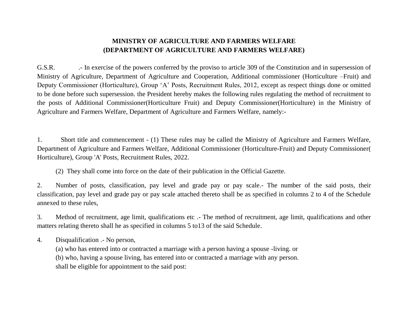## **MINISTRY OF AGRICULTURE AND FARMERS WELFARE (DEPARTMENT OF AGRICULTURE AND FARMERS WELFARE)**

G.S.R. ... In exercise of the powers conferred by the proviso to article 309 of the Constitution and in supersession of Ministry of Agriculture, Department of Agriculture and Cooperation, Additional commissioner (Horticulture –Fruit) and Deputy Commissioner (Horticulture), Group 'A' Posts, Recruitment Rules, 2012, except as respect things done or omitted to be done before such supersession. the President hereby makes the following rules regulating the method of recruitment to the posts of Additional Commissioner(Horticulture Fruit) and Deputy Commissioner(Horticulture) in the Ministry of Agriculture and Farmers Welfare, Department of Agriculture and Farmers Welfare, namely:-

1. Short title and commencement - (1) These rules may be called the Ministry of Agriculture and Farmers Welfare, Department of Agriculture and Farmers Welfare, Additional Commissioner (Horticulture-Fruit) and Deputy Commissioner( Horticulture), Group 'A' Posts, Recruitment Rules, 2022.

(2) They shall come into force on the date of their publication in the Official Gazette.

2. Number of posts, classification, pay level and grade pay or pay scale.- The number of the said posts, their classification, pay level and grade pay or pay scale attached thereto shall be as specified in columns 2 to 4 of the Schedule annexed to these rules,

3. Method of recruitment, age limit, qualifications etc .- The method of recruitment, age limit, qualifications and other matters relating thereto shall he as specified in columns 5 to13 of the said Schedule.

4. Disqualification .- No person,

(a) who has entered into or contracted a marriage with a person having a spouse -living. or (b) who, having a spouse living, has entered into or contracted a marriage with any person. shall be eligible for appointment to the said post: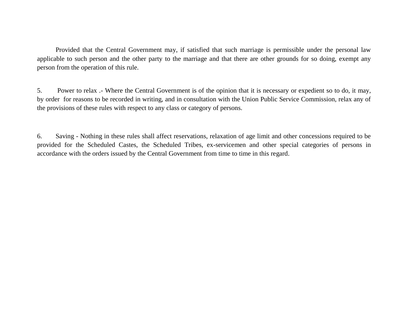Provided that the Central Government may, if satisfied that such marriage is permissible under the personal law applicable to such person and the other party to the marriage and that there are other grounds for so doing, exempt any person from the operation of this rule.

5. Power to relax .- Where the Central Government is of the opinion that it is necessary or expedient so to do, it may, by order for reasons to be recorded in writing, and in consultation with the Union Public Service Commission, relax any of the provisions of these rules with respect to any class or category of persons.

6. Saving - Nothing in these rules shall affect reservations, relaxation of age limit and other concessions required to be provided for the Scheduled Castes, the Scheduled Tribes, ex-servicemen and other special categories of persons in accordance with the orders issued by the Central Government from time to time in this regard.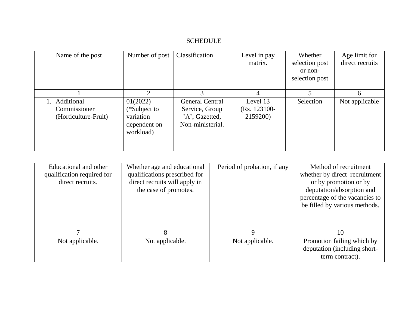## SCHEDULE

| Name of the post                                   | Number of post                                                     | Classification                                                                 | Level in pay<br>matrix.                 | Whether<br>selection post<br>or non-<br>selection post | Age limit for<br>direct recruits |
|----------------------------------------------------|--------------------------------------------------------------------|--------------------------------------------------------------------------------|-----------------------------------------|--------------------------------------------------------|----------------------------------|
|                                                    |                                                                    |                                                                                | 4                                       |                                                        | 6                                |
| Additional<br>Commissioner<br>(Horticulture-Fruit) | 01(2022)<br>(*Subject to<br>variation<br>dependent on<br>workload) | <b>General Central</b><br>Service, Group<br>'A', Gazetted,<br>Non-ministerial. | Level 13<br>$(Rs. 123100 -$<br>2159200) | Selection                                              | Not applicable                   |

| Educational and other<br>qualification required for<br>direct recruits. | Whether age and educational<br>qualifications prescribed for<br>direct recruits will apply in<br>the case of promotes. | Period of probation, if any | Method of recruitment<br>whether by direct recruitment<br>or by promotion or by<br>deputation/absorption and<br>percentage of the vacancies to<br>be filled by various methods. |
|-------------------------------------------------------------------------|------------------------------------------------------------------------------------------------------------------------|-----------------------------|---------------------------------------------------------------------------------------------------------------------------------------------------------------------------------|
| ⇁                                                                       | 8                                                                                                                      | 9                           | 10                                                                                                                                                                              |
| Not applicable.                                                         | Not applicable.                                                                                                        | Not applicable.             | Promotion failing which by<br>deputation (including short-<br>term contract).                                                                                                   |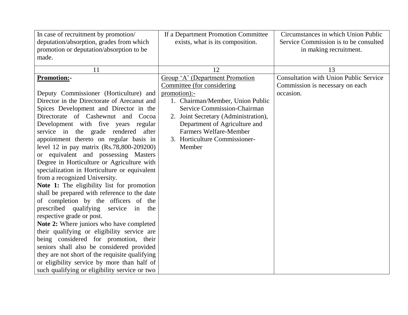| In case of recruitment by promotion/<br>deputation/absorption, grades from which<br>promotion or deputation/absorption to be<br>made. | If a Department Promotion Committee<br>exists, what is its composition. | Circumstances in which Union Public<br>Service Commission is to be consulted<br>in making recruitment. |
|---------------------------------------------------------------------------------------------------------------------------------------|-------------------------------------------------------------------------|--------------------------------------------------------------------------------------------------------|
|                                                                                                                                       |                                                                         |                                                                                                        |
| 11                                                                                                                                    | 12                                                                      | 13                                                                                                     |
| <b>Promotion:-</b>                                                                                                                    | Group 'A' (Department Promotion                                         | <b>Consultation with Union Public Service</b>                                                          |
|                                                                                                                                       | Committee (for considering)                                             | Commission is necessary on each                                                                        |
| Deputy Commissioner (Horticulture) and                                                                                                | promotion):-                                                            | occasion.                                                                                              |
| Director in the Directorate of Arecanut and                                                                                           | 1. Chairman/Member, Union Public                                        |                                                                                                        |
| Spices Development and Director in the                                                                                                | Service Commission-Chairman                                             |                                                                                                        |
| Directorate of Cashewnut and<br>Cocoa                                                                                                 | 2. Joint Secretary (Administration),                                    |                                                                                                        |
| Development with five years regular                                                                                                   | Department of Agriculture and                                           |                                                                                                        |
| service in the grade rendered<br>after                                                                                                | <b>Farmers Welfare-Member</b>                                           |                                                                                                        |
| appointment thereto on regular basis in                                                                                               | 3. Horticulture Commissioner-<br>Member                                 |                                                                                                        |
| level 12 in pay matrix (Rs.78,800-209200)                                                                                             |                                                                         |                                                                                                        |
| or equivalent and possessing Masters<br>Degree in Horticulture or Agriculture with                                                    |                                                                         |                                                                                                        |
| specialization in Horticulture or equivalent                                                                                          |                                                                         |                                                                                                        |
| from a recognized University.                                                                                                         |                                                                         |                                                                                                        |
| Note 1: The eligibility list for promotion                                                                                            |                                                                         |                                                                                                        |
| shall be prepared with reference to the date                                                                                          |                                                                         |                                                                                                        |
| of completion by the officers of the                                                                                                  |                                                                         |                                                                                                        |
| prescribed qualifying<br>service in<br>the                                                                                            |                                                                         |                                                                                                        |
| respective grade or post.                                                                                                             |                                                                         |                                                                                                        |
| Note 2: Where juniors who have completed                                                                                              |                                                                         |                                                                                                        |
| their qualifying or eligibility service are                                                                                           |                                                                         |                                                                                                        |
| being considered for promotion, their                                                                                                 |                                                                         |                                                                                                        |
| seniors shall also be considered provided                                                                                             |                                                                         |                                                                                                        |
| they are not short of the requisite qualifying                                                                                        |                                                                         |                                                                                                        |
| or eligibility service by more than half of                                                                                           |                                                                         |                                                                                                        |
| such qualifying or eligibility service or two                                                                                         |                                                                         |                                                                                                        |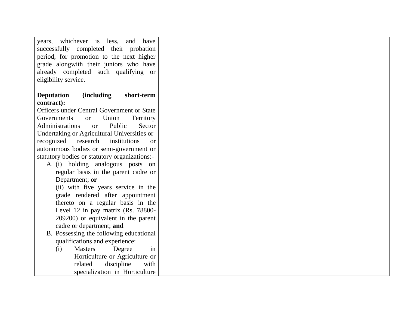| years, whichever is less,<br>and<br>have              |  |
|-------------------------------------------------------|--|
| successfully completed their probation                |  |
| period, for promotion to the next higher              |  |
| grade alongwith their juniors who have                |  |
| already completed such qualifying or                  |  |
| eligibility service.                                  |  |
|                                                       |  |
| <i>(including)</i><br>short-term<br><b>Deputation</b> |  |
| contract):                                            |  |
| Officers under Central Government or State            |  |
| Union<br>Governments<br>Territory<br><b>or</b>        |  |
| Administrations<br>Public<br>Sector<br><b>or</b>      |  |
| Undertaking or Agricultural Universities or           |  |
| research<br>recognized<br>institutions<br><b>or</b>   |  |
| autonomous bodies or semi-government or               |  |
| statutory bodies or statutory organizations:-         |  |
| A. (i) holding analogous posts on                     |  |
| regular basis in the parent cadre or                  |  |
| Department; or                                        |  |
| (ii) with five years service in the                   |  |
| grade rendered after appointment                      |  |
| thereto on a regular basis in the                     |  |
| Level 12 in pay matrix (Rs. 78800-                    |  |
| 209200) or equivalent in the parent                   |  |
| cadre or department; and                              |  |
| B. Possessing the following educational               |  |
| qualifications and experience:                        |  |
| <b>Masters</b><br>Degree<br>(i)<br>in                 |  |
| Horticulture or Agriculture or                        |  |
| discipline<br>related<br>with                         |  |
| specialization in Horticulture                        |  |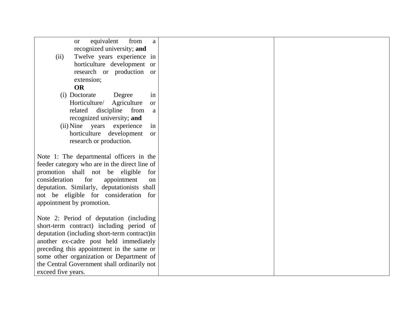| equivalent<br>from<br>a<br>or                 |  |
|-----------------------------------------------|--|
| recognized university; and                    |  |
| Twelve years experience in<br>(ii)            |  |
| horticulture development or                   |  |
|                                               |  |
| research or production or                     |  |
| extension;                                    |  |
| <b>OR</b>                                     |  |
| in<br>(i) Doctorate<br>Degree                 |  |
| Horticulture/<br>Agriculture<br><b>or</b>     |  |
| discipline<br>from<br>related<br>a            |  |
| recognized university; and                    |  |
| (ii) Nine years<br>experience<br>in           |  |
| horticulture development<br><b>or</b>         |  |
| research or production.                       |  |
|                                               |  |
| Note 1: The departmental officers in the      |  |
| feeder category who are in the direct line of |  |
| promotion shall not be eligible<br>for        |  |
| consideration<br>for<br>appointment           |  |
| on                                            |  |
| deputation. Similarly, deputationists shall   |  |
| not be eligible for consideration for         |  |
| appointment by promotion.                     |  |
|                                               |  |
| Note 2: Period of deputation (including       |  |
| short-term contract) including period of      |  |
| deputation (including short-term contract)in  |  |
| another ex-cadre post held immediately        |  |
| preceding this appointment in the same or     |  |
| some other organization or Department of      |  |
| the Central Government shall ordinarily not   |  |
| exceed five years.                            |  |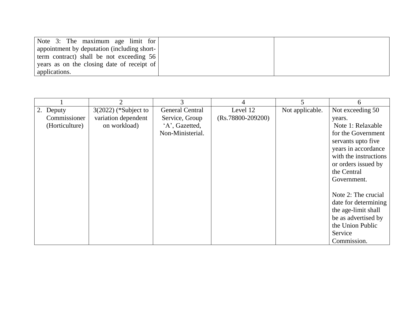| Note 3: The maximum age limit for           |  |
|---------------------------------------------|--|
| appointment by deputation (including short- |  |
| term contract) shall be not exceeding 56    |  |
| years as on the closing date of receipt of  |  |
| applications.                               |  |

|                | 2                      | 3                      | 4                   | 5               | 6                     |
|----------------|------------------------|------------------------|---------------------|-----------------|-----------------------|
| 2. Deputy      | $3(2022)$ (*Subject to | <b>General Central</b> | Level 12            | Not applicable. | Not exceeding 50      |
| Commissioner   | variation dependent    | Service, Group         | $(Rs.78800-209200)$ |                 | years.                |
| (Horticulture) | on workload)           | 'A', Gazetted,         |                     |                 | Note 1: Relaxable     |
|                |                        | Non-Ministerial.       |                     |                 | for the Government    |
|                |                        |                        |                     |                 | servants upto five    |
|                |                        |                        |                     |                 | years in accordance   |
|                |                        |                        |                     |                 | with the instructions |
|                |                        |                        |                     |                 | or orders issued by   |
|                |                        |                        |                     |                 | the Central           |
|                |                        |                        |                     |                 | Government.           |
|                |                        |                        |                     |                 |                       |
|                |                        |                        |                     |                 | Note 2: The crucial   |
|                |                        |                        |                     |                 | date for determining  |
|                |                        |                        |                     |                 | the age-limit shall   |
|                |                        |                        |                     |                 | be as advertised by   |
|                |                        |                        |                     |                 | the Union Public      |
|                |                        |                        |                     |                 | Service               |
|                |                        |                        |                     |                 | Commission.           |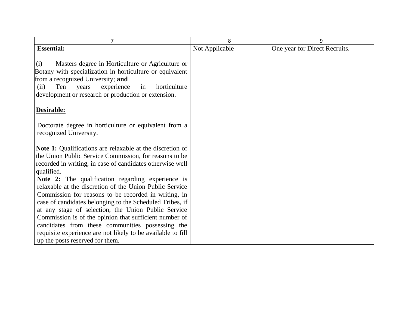| $\overline{7}$                                                                                                                                                                                                                                                                                                                                                                                                                                                                                                                                                                                                                                                                | 8              | 9                             |
|-------------------------------------------------------------------------------------------------------------------------------------------------------------------------------------------------------------------------------------------------------------------------------------------------------------------------------------------------------------------------------------------------------------------------------------------------------------------------------------------------------------------------------------------------------------------------------------------------------------------------------------------------------------------------------|----------------|-------------------------------|
| <b>Essential:</b>                                                                                                                                                                                                                                                                                                                                                                                                                                                                                                                                                                                                                                                             | Not Applicable | One year for Direct Recruits. |
| Masters degree in Horticulture or Agriculture or<br>(i)<br>Botany with specialization in horticulture or equivalent<br>from a recognized University; and<br>Ten<br>experience<br>horticulture<br>in<br>(ii)<br>years<br>development or research or production or extension.                                                                                                                                                                                                                                                                                                                                                                                                   |                |                               |
| Desirable:                                                                                                                                                                                                                                                                                                                                                                                                                                                                                                                                                                                                                                                                    |                |                               |
| Doctorate degree in horticulture or equivalent from a<br>recognized University.                                                                                                                                                                                                                                                                                                                                                                                                                                                                                                                                                                                               |                |                               |
| <b>Note 1:</b> Qualifications are relaxable at the discretion of<br>the Union Public Service Commission, for reasons to be<br>recorded in writing, in case of candidates otherwise well<br>qualified.<br>Note 2: The qualification regarding experience is<br>relaxable at the discretion of the Union Public Service<br>Commission for reasons to be recorded in writing, in<br>case of candidates belonging to the Scheduled Tribes, if<br>at any stage of selection, the Union Public Service<br>Commission is of the opinion that sufficient number of<br>candidates from these communities possessing the<br>requisite experience are not likely to be available to fill |                |                               |
| up the posts reserved for them.                                                                                                                                                                                                                                                                                                                                                                                                                                                                                                                                                                                                                                               |                |                               |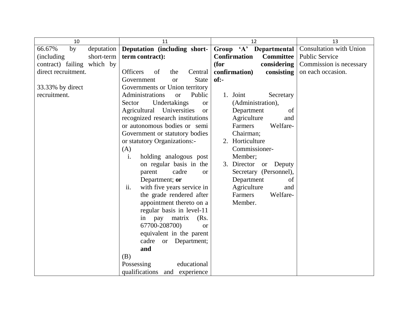| 10                         | 11                                      | 12                                      | 13                             |
|----------------------------|-----------------------------------------|-----------------------------------------|--------------------------------|
| 66.67%<br>by<br>deputation | Deputation (including short-            | Group 'A' Departmental                  | <b>Consultation with Union</b> |
| (including)<br>short-term  | term contract):                         | <b>Committee</b><br><b>Confirmation</b> | <b>Public Service</b>          |
| contract) failing which by |                                         | considering<br>(for                     | Commission is necessary        |
| direct recruitment.        | <b>Officers</b><br>of<br>the<br>Central | confirmation)<br>consisting             | on each occasion.              |
|                            | Government<br><b>State</b><br><b>or</b> | $of:-$                                  |                                |
| 33.33% by direct           | Governments or Union territory          |                                         |                                |
| recruitment.               | Administrations<br>Public<br><b>or</b>  | 1. Joint<br>Secretary                   |                                |
|                            | Undertakings<br>Sector<br><b>or</b>     | (Administration),                       |                                |
|                            | Agricultural Universities<br><b>or</b>  | Department<br>of                        |                                |
|                            | recognized research institutions        | Agriculture<br>and                      |                                |
|                            | or autonomous bodies or semi            | Welfare-<br>Farmers                     |                                |
|                            | Government or statutory bodies          | Chairman;                               |                                |
|                            | or statutory Organizations:-            | 2. Horticulture                         |                                |
|                            | (A)                                     | Commissioner-                           |                                |
|                            | holding analogous post<br>i.            | Member;                                 |                                |
|                            | on regular basis in the                 | 3. Director or Deputy                   |                                |
|                            | cadre<br>parent<br><b>or</b>            | Secretary (Personnel),                  |                                |
|                            | Department; or                          | Department<br>of                        |                                |
|                            | ii.<br>with five years service in       | Agriculture<br>and                      |                                |
|                            | the grade rendered after                | Farmers<br>Welfare-                     |                                |
|                            | appointment thereto on a                | Member.                                 |                                |
|                            | regular basis in level-11               |                                         |                                |
|                            | in pay matrix<br>(Rs.                   |                                         |                                |
|                            | 67700-208700)<br><b>or</b>              |                                         |                                |
|                            | equivalent in the parent                |                                         |                                |
|                            | cadre or Department;                    |                                         |                                |
|                            | and                                     |                                         |                                |
|                            | (B)                                     |                                         |                                |
|                            | Possessing<br>educational               |                                         |                                |
|                            | qualifications<br>and experience        |                                         |                                |